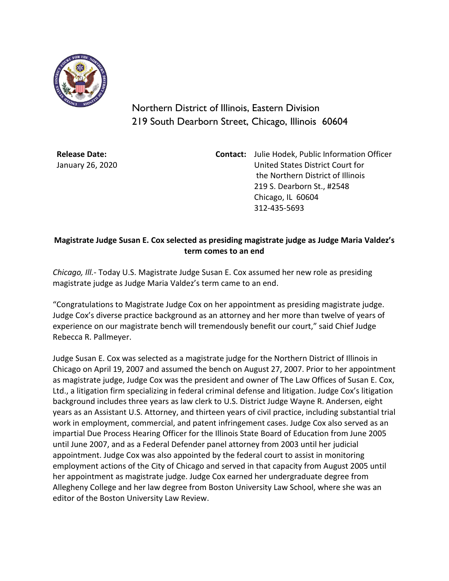

Northern District of Illinois, Eastern Division 219 South Dearborn Street, Chicago, Illinois 60604

**Release Date:** January 26, 2020 **Contact:** Julie Hodek, Public Information Officer United States District Court for the Northern District of Illinois 219 S. Dearborn St., #2548 Chicago, IL 60604 312-435-5693

## **Magistrate Judge Susan E. Cox selected as presiding magistrate judge as Judge Maria Valdez's term comes to an end**

*Chicago, Ill.-* Today U.S. Magistrate Judge Susan E. Cox assumed her new role as presiding magistrate judge as Judge Maria Valdez's term came to an end.

"Congratulations to Magistrate Judge Cox on her appointment as presiding magistrate judge. Judge Cox's diverse practice background as an attorney and her more than twelve of years of experience on our magistrate bench will tremendously benefit our court," said Chief Judge Rebecca R. Pallmeyer.

Judge Susan E. Cox was selected as a magistrate judge for the Northern District of Illinois in Chicago on April 19, 2007 and assumed the bench on August 27, 2007. Prior to her appointment as magistrate judge, Judge Cox was the president and owner of The Law Offices of Susan E. Cox, Ltd., a litigation firm specializing in federal criminal defense and litigation. Judge Cox's litigation background includes three years as law clerk to U.S. District Judge Wayne R. Andersen, eight years as an Assistant U.S. Attorney, and thirteen years of civil practice, including substantial trial work in employment, commercial, and patent infringement cases. Judge Cox also served as an impartial Due Process Hearing Officer for the Illinois State Board of Education from June 2005 until June 2007, and as a Federal Defender panel attorney from 2003 until her judicial appointment. Judge Cox was also appointed by the federal court to assist in monitoring employment actions of the City of Chicago and served in that capacity from August 2005 until her appointment as magistrate judge. Judge Cox earned her undergraduate degree from Allegheny College and her law degree from Boston University Law School, where she was an editor of the Boston University Law Review.